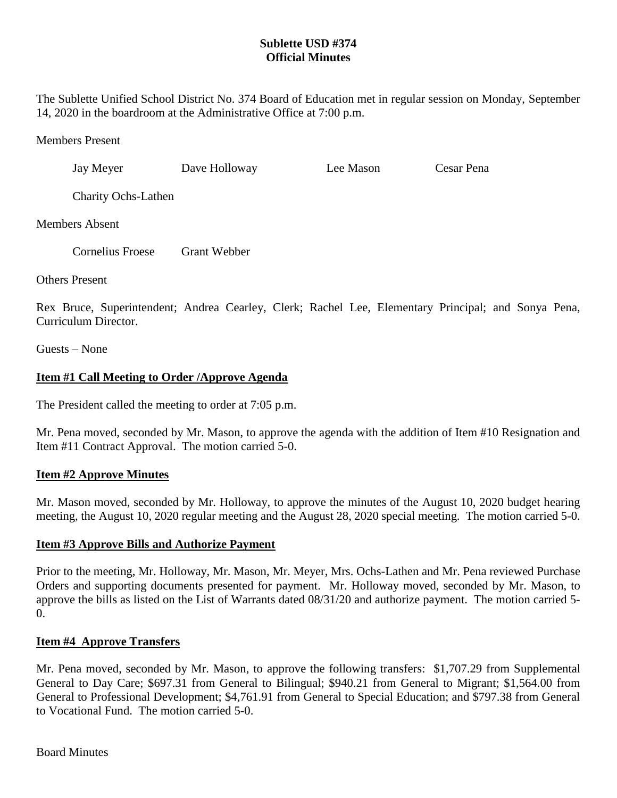## **Sublette USD #374 Official Minutes**

The Sublette Unified School District No. 374 Board of Education met in regular session on Monday, September 14, 2020 in the boardroom at the Administrative Office at 7:00 p.m.

Members Present

Jay Meyer Dave Holloway Lee Mason Cesar Pena

Charity Ochs-Lathen

Members Absent

Cornelius Froese Grant Webber

Others Present

Rex Bruce, Superintendent; Andrea Cearley, Clerk; Rachel Lee, Elementary Principal; and Sonya Pena, Curriculum Director.

Guests – None

# **Item #1 Call Meeting to Order /Approve Agenda**

The President called the meeting to order at 7:05 p.m.

Mr. Pena moved, seconded by Mr. Mason, to approve the agenda with the addition of Item #10 Resignation and Item #11 Contract Approval. The motion carried 5-0.

## **Item #2 Approve Minutes**

Mr. Mason moved, seconded by Mr. Holloway, to approve the minutes of the August 10, 2020 budget hearing meeting, the August 10, 2020 regular meeting and the August 28, 2020 special meeting. The motion carried 5-0.

## **Item #3 Approve Bills and Authorize Payment**

Prior to the meeting, Mr. Holloway, Mr. Mason, Mr. Meyer, Mrs. Ochs-Lathen and Mr. Pena reviewed Purchase Orders and supporting documents presented for payment. Mr. Holloway moved, seconded by Mr. Mason, to approve the bills as listed on the List of Warrants dated 08/31/20 and authorize payment. The motion carried 5- 0.

## **Item #4 Approve Transfers**

Mr. Pena moved, seconded by Mr. Mason, to approve the following transfers: \$1,707.29 from Supplemental General to Day Care; \$697.31 from General to Bilingual; \$940.21 from General to Migrant; \$1,564.00 from General to Professional Development; \$4,761.91 from General to Special Education; and \$797.38 from General to Vocational Fund. The motion carried 5-0.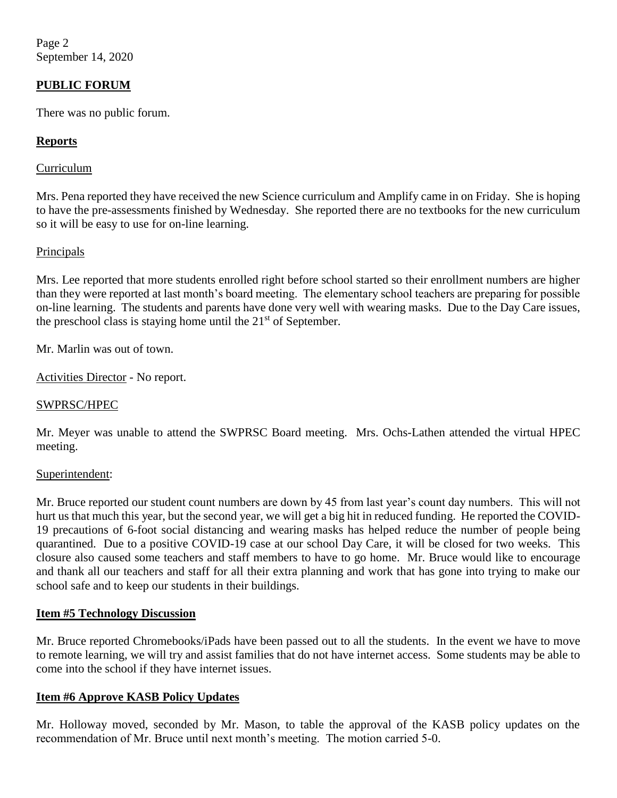Page 2 September 14, 2020

### **PUBLIC FORUM**

There was no public forum.

### **Reports**

### Curriculum

Mrs. Pena reported they have received the new Science curriculum and Amplify came in on Friday. She is hoping to have the pre-assessments finished by Wednesday. She reported there are no textbooks for the new curriculum so it will be easy to use for on-line learning.

### Principals

Mrs. Lee reported that more students enrolled right before school started so their enrollment numbers are higher than they were reported at last month's board meeting. The elementary school teachers are preparing for possible on-line learning. The students and parents have done very well with wearing masks. Due to the Day Care issues, the preschool class is staying home until the  $21<sup>st</sup>$  of September.

Mr. Marlin was out of town.

Activities Director - No report.

### SWPRSC/HPEC

Mr. Meyer was unable to attend the SWPRSC Board meeting. Mrs. Ochs-Lathen attended the virtual HPEC meeting.

#### Superintendent:

Mr. Bruce reported our student count numbers are down by 45 from last year's count day numbers. This will not hurt us that much this year, but the second year, we will get a big hit in reduced funding. He reported the COVID-19 precautions of 6-foot social distancing and wearing masks has helped reduce the number of people being quarantined. Due to a positive COVID-19 case at our school Day Care, it will be closed for two weeks. This closure also caused some teachers and staff members to have to go home. Mr. Bruce would like to encourage and thank all our teachers and staff for all their extra planning and work that has gone into trying to make our school safe and to keep our students in their buildings.

#### **Item #5 Technology Discussion**

Mr. Bruce reported Chromebooks/iPads have been passed out to all the students. In the event we have to move to remote learning, we will try and assist families that do not have internet access. Some students may be able to come into the school if they have internet issues.

#### **Item #6 Approve KASB Policy Updates**

Mr. Holloway moved, seconded by Mr. Mason, to table the approval of the KASB policy updates on the recommendation of Mr. Bruce until next month's meeting. The motion carried 5-0.